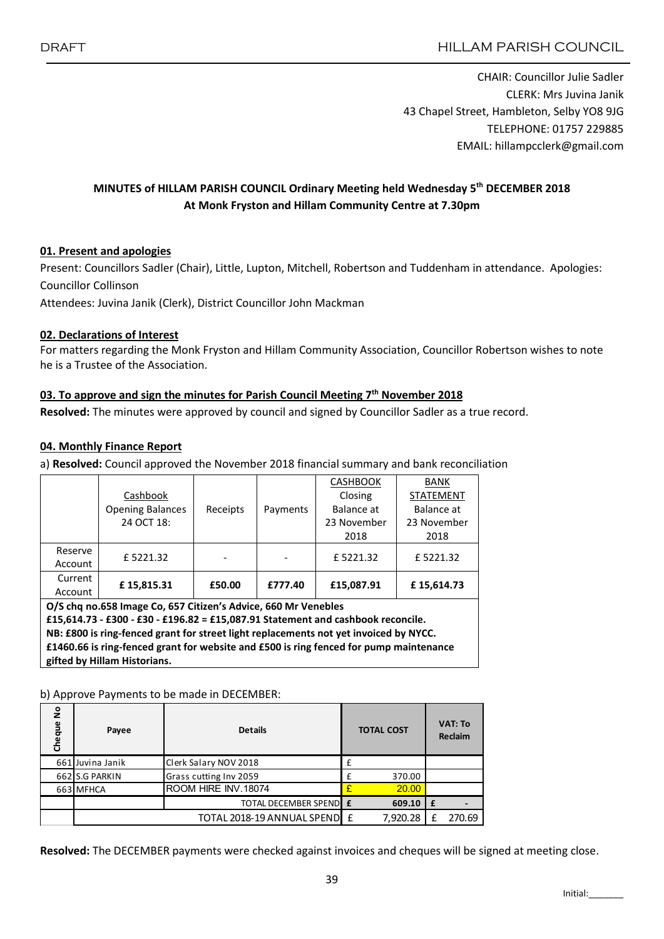CHAIR: Councillor Julie Sadler CLERK: Mrs Juvina Janik 43 Chapel Street, Hambleton, Selby YO8 9JG TELEPHONE: 01757 229885 EMAIL: hillampcclerk@gmail.com

# MINUTES of HILLAM PARISH COUNCIL Ordinary Meeting held Wednesday 5<sup>th</sup> DECEMBER 2018 At Monk Fryston and Hillam Community Centre at 7.30pm

#### 01. Present and apologies

Present: Councillors Sadler (Chair), Little, Lupton, Mitchell, Robertson and Tuddenham in attendance. Apologies: Councillor Collinson

Attendees: Juvina Janik (Clerk), District Councillor John Mackman

#### 02. Declarations of Interest

For matters regarding the Monk Fryston and Hillam Community Association, Councillor Robertson wishes to note he is a Trustee of the Association.

#### 03. To approve and sign the minutes for Parish Council Meeting 7<sup>th</sup> November 2018

Resolved: The minutes were approved by council and signed by Councillor Sadler as a true record.

#### 04. Monthly Finance Report

a) Resolved: Council approved the November 2018 financial summary and bank reconciliation

|                                                                |                                                                                       |          |          | <b>CASHBOOK</b> | <b>BANK</b>      |  |  |  |  |  |  |
|----------------------------------------------------------------|---------------------------------------------------------------------------------------|----------|----------|-----------------|------------------|--|--|--|--|--|--|
|                                                                | Cashbook                                                                              |          |          | Closing         | <b>STATEMENT</b> |  |  |  |  |  |  |
|                                                                | <b>Opening Balances</b>                                                               | Receipts | Payments | Balance at      | Balance at       |  |  |  |  |  |  |
|                                                                | 24 OCT 18:                                                                            |          |          | 23 November     | 23 November      |  |  |  |  |  |  |
|                                                                |                                                                                       |          |          | 2018            | 2018             |  |  |  |  |  |  |
| Reserve                                                        | £5221.32                                                                              |          |          | £5221.32        | £5221.32         |  |  |  |  |  |  |
| Account                                                        |                                                                                       |          |          |                 |                  |  |  |  |  |  |  |
| Current                                                        | £15,815.31                                                                            | £50.00   | £777.40  | £15,087.91      | £15,614.73       |  |  |  |  |  |  |
| Account                                                        |                                                                                       |          |          |                 |                  |  |  |  |  |  |  |
| O/S chq no.658 Image Co, 657 Citizen's Advice, 660 Mr Venebles |                                                                                       |          |          |                 |                  |  |  |  |  |  |  |
|                                                                | £15,614.73 - £300 - £30 - £196.82 = £15,087.91 Statement and cashbook reconcile.      |          |          |                 |                  |  |  |  |  |  |  |
|                                                                | NB: £800 is ring-fenced grant for street light replacements not yet invoiced by NYCC. |          |          |                 |                  |  |  |  |  |  |  |

£1460.66 is ring-fenced grant for website and £500 is ring fenced for pump maintenance gifted by Hillam Historians.

#### b) Approve Payments to be made in DECEMBER:

| $\frac{1}{2}$<br>Cheque | Payee            | <b>Details</b>                                                                                             |   | <b>TOTAL COST</b> |   | <b>VAT: To</b><br><b>Reclaim</b> |
|-------------------------|------------------|------------------------------------------------------------------------------------------------------------|---|-------------------|---|----------------------------------|
|                         | 661 Juvina Janik | Clerk Salary NOV 2018                                                                                      | £ |                   |   |                                  |
|                         | 662 S.G PARKIN   | Grass cutting Inv 2059                                                                                     |   | 370.00            |   |                                  |
|                         | 663 MFHCA        | ROOM HIRE INV.18074                                                                                        |   | 20.00             |   |                                  |
|                         |                  | TOTAL DECEMBER SPENDE                                                                                      |   | $609.10$   £      |   |                                  |
|                         |                  | TOTAL 2018-19 ANNUAL SPENDIE                                                                               |   | 7,920.28          | f | 270.69                           |
|                         |                  |                                                                                                            |   |                   |   |                                  |
|                         |                  | Resolved: The DECEMBER payments were checked against invoices and cheques will be signed at meeting close. |   |                   |   |                                  |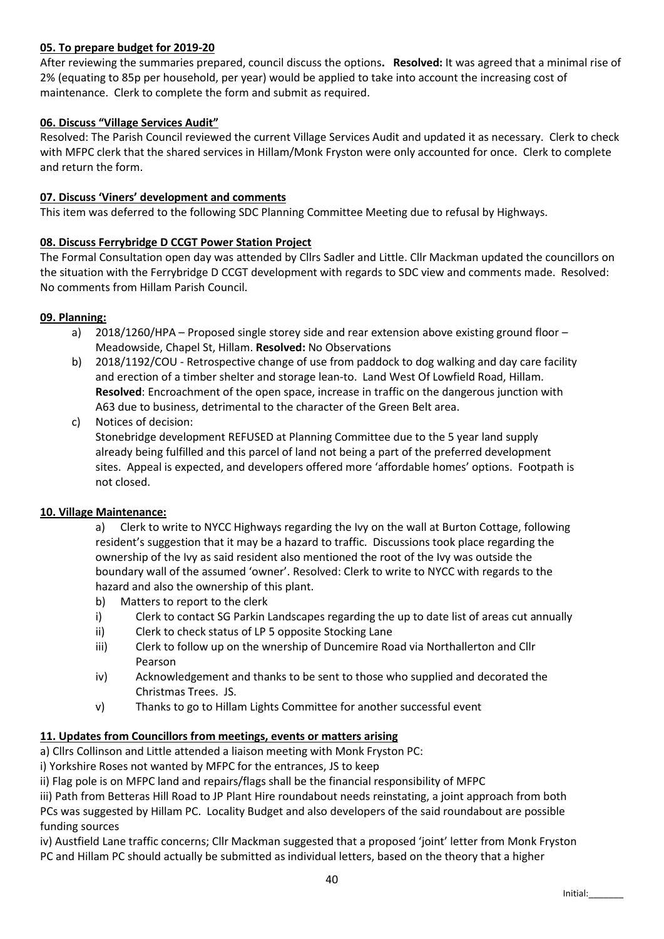### 05. To prepare budget for 2019-20

After reviewing the summaries prepared, council discuss the options. Resolved: It was agreed that a minimal rise of 2% (equating to 85p per household, per year) would be applied to take into account the increasing cost of maintenance. Clerk to complete the form and submit as required.

### 06. Discuss "Village Services Audit"

Resolved: The Parish Council reviewed the current Village Services Audit and updated it as necessary. Clerk to check with MFPC clerk that the shared services in Hillam/Monk Fryston were only accounted for once. Clerk to complete and return the form.

### 07. Discuss 'Viners' development and comments

This item was deferred to the following SDC Planning Committee Meeting due to refusal by Highways.

#### 08. Discuss Ferrybridge D CCGT Power Station Project

The Formal Consultation open day was attended by Cllrs Sadler and Little. Cllr Mackman updated the councillors on the situation with the Ferrybridge D CCGT development with regards to SDC view and comments made. Resolved: No comments from Hillam Parish Council.

#### 09. Planning:

- a) 2018/1260/HPA Proposed single storey side and rear extension above existing ground floor Meadowside, Chapel St, Hillam. Resolved: No Observations
- b) 2018/1192/COU Retrospective change of use from paddock to dog walking and day care facility and erection of a timber shelter and storage lean-to. Land West Of Lowfield Road, Hillam. Resolved: Encroachment of the open space, increase in traffic on the dangerous junction with A63 due to business, detrimental to the character of the Green Belt area.
- c) Notices of decision:

Stonebridge development REFUSED at Planning Committee due to the 5 year land supply already being fulfilled and this parcel of land not being a part of the preferred development sites. Appeal is expected, and developers offered more 'affordable homes' options. Footpath is not closed.

#### 10. Village Maintenance:

a) Clerk to write to NYCC Highways regarding the Ivy on the wall at Burton Cottage, following resident's suggestion that it may be a hazard to traffic. Discussions took place regarding the ownership of the Ivy as said resident also mentioned the root of the Ivy was outside the boundary wall of the assumed 'owner'. Resolved: Clerk to write to NYCC with regards to the hazard and also the ownership of this plant.

- b) Matters to report to the clerk
- i) Clerk to contact SG Parkin Landscapes regarding the up to date list of areas cut annually
- ii) Clerk to check status of LP 5 opposite Stocking Lane
- iii) Clerk to follow up on the wnership of Duncemire Road via Northallerton and Cllr Pearson
- iv) Acknowledgement and thanks to be sent to those who supplied and decorated the Christmas Trees. JS.
- v) Thanks to go to Hillam Lights Committee for another successful event

#### 11. Updates from Councillors from meetings, events or matters arising

a) Cllrs Collinson and Little attended a liaison meeting with Monk Fryston PC:

i) Yorkshire Roses not wanted by MFPC for the entrances, JS to keep

ii) Flag pole is on MFPC land and repairs/flags shall be the financial responsibility of MFPC

iii) Path from Betteras Hill Road to JP Plant Hire roundabout needs reinstating, a joint approach from both PCs was suggested by Hillam PC. Locality Budget and also developers of the said roundabout are possible funding sources

iv) Austfield Lane traffic concerns; Cllr Mackman suggested that a proposed 'joint' letter from Monk Fryston PC and Hillam PC should actually be submitted as individual letters, based on the theory that a higher